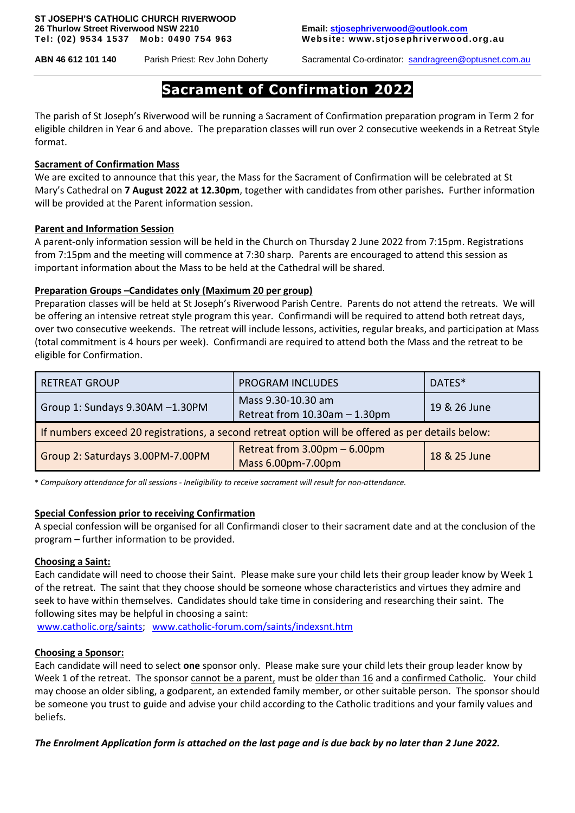**Tel: (02) 9534 1537 Mob: 0490 754 963 Website: www.stjosephriverwood.org.au**

**ABN 46 612 101 140** Parish Priest: Rev John Doherty Sacramental Co-ordinator: [sandragreen@optusnet.com.au](mailto:sandragreen@optusnet.com.au)

## **Sacrament of Confirmation 2022**

The parish of St Joseph's Riverwood will be running a Sacrament of Confirmation preparation program in Term 2 for eligible children in Year 6 and above. The preparation classes will run over 2 consecutive weekends in a Retreat Style format.

### **Sacrament of Confirmation Mass**

We are excited to announce that this year, the Mass for the Sacrament of Confirmation will be celebrated at St Mary's Cathedral on **7 August 2022 at 12.30pm**, together with candidates from other parishes**.** Further information will be provided at the Parent information session.

### **Parent and Information Session**

A parent-only information session will be held in the Church on Thursday 2 June 2022 from 7:15pm. Registrations from 7:15pm and the meeting will commence at 7:30 sharp. Parents are encouraged to attend this session as important information about the Mass to be held at the Cathedral will be shared.

### **Preparation Groups –Candidates only (Maximum 20 per group)**

Preparation classes will be held at St Joseph's Riverwood Parish Centre. Parents do not attend the retreats. We will be offering an intensive retreat style program this year. Confirmandi will be required to attend both retreat days, over two consecutive weekends. The retreat will include lessons, activities, regular breaks, and participation at Mass (total commitment is 4 hours per week). Confirmandi are required to attend both the Mass and the retreat to be eligible for Confirmation.

| <b>RETREAT GROUP</b>                                                                              | <b>PROGRAM INCLUDES</b>                                              | DATES*       |  |  |
|---------------------------------------------------------------------------------------------------|----------------------------------------------------------------------|--------------|--|--|
| Group 1: Sundays 9.30AM -1.30PM                                                                   | Mass 9.30-10.30 am<br>Retreat from $10.30$ am $- 1.30$ pm            | 19 & 26 June |  |  |
| If numbers exceed 20 registrations, a second retreat option will be offered as per details below: |                                                                      |              |  |  |
| Group 2: Saturdays 3.00PM-7.00PM                                                                  | Retreat from $3.00 \text{pm} - 6.00 \text{pm}$<br>Mass 6.00pm-7.00pm | 18 & 25 June |  |  |

\* *Compulsory attendance for all sessions - Ineligibility to receive sacrament will result for non-attendance.*

### **Special Confession prior to receiving Confirmation**

A special confession will be organised for all Confirmandi closer to their sacrament date and at the conclusion of the program – further information to be provided.

#### **Choosing a Saint:**

Each candidate will need to choose their Saint. Please make sure your child lets their group leader know by Week 1 of the retreat. The saint that they choose should be someone whose characteristics and virtues they admire and seek to have within themselves. Candidates should take time in considering and researching their saint. The following sites may be helpful in choosing a saint:

[www.catholic.org/saints;](http://www.catholic.org/saints) [www.catholic-forum.com/saints/indexsnt.htm](http://www.catholic-forum.com/saints/indexsnt.htm)

### **Choosing a Sponsor:**

Each candidate will need to select **one** sponsor only. Please make sure your child lets their group leader know by Week 1 of the retreat. The sponsor cannot be a parent, must be older than 16 and a confirmed Catholic. Your child may choose an older sibling, a godparent, an extended family member, or other suitable person. The sponsor should be someone you trust to guide and advise your child according to the Catholic traditions and your family values and beliefs.

*The Enrolment Application form is attached on the last page and is due back by no later than 2 June 2022.*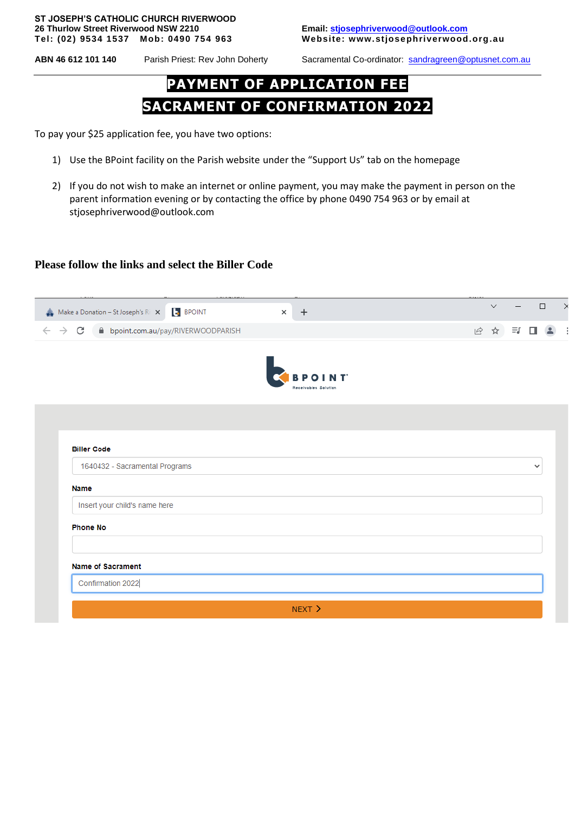**Tel: (02) 9534 1537 Mob: 0490 754 963 Website: www.stjosephriverwood.org.au**

**ABN 46 612 101 140** Parish Priest: Rev John Doherty Sacramental Co-ordinator: [sandragreen@optusnet.com.au](mailto:sandragreen@optusnet.com.au)

# **PAYMENT OF APPLICATION FEE SACRAMENT OF CONFIRMATION 2022**

To pay your \$25 application fee, you have two options:

- 1) Use the BPoint facility on the Parish website under the "Support Us" tab on the homepage
- 2) If you do not wish to make an internet or online payment, you may make the payment in person on the parent information evening or by contacting the office by phone 0490 754 963 or by email at stjosephriverwood@outlook.com

## **Please follow the links and select the Biller Code**

| <u>.</u>                                  |          |                 |                      |          |              |      |              |                               |
|-------------------------------------------|----------|-----------------|----------------------|----------|--------------|------|--------------|-------------------------------|
| Make a Donation - St Joseph's Ri X BPOINT | $\times$ | $+$             |                      | $-22222$ | $\checkmark$ |      |              | $\overline{\phantom{1}}$<br>□ |
| bpoint.com.au/pay/RIVERWOODPARISH         |          |                 |                      |          |              | Ξſ   | п            |                               |
|                                           |          | NT <sup>*</sup> |                      |          |              |      |              |                               |
|                                           |          |                 |                      |          |              |      |              |                               |
| 1640432 - Sacramental Programs            |          |                 |                      |          |              |      | $\checkmark$ |                               |
|                                           |          |                 |                      |          |              |      |              |                               |
| Insert your child's name here             |          |                 |                      |          |              |      |              |                               |
|                                           |          |                 |                      |          |              |      |              |                               |
|                                           |          |                 |                      |          |              |      |              |                               |
|                                           |          |                 |                      |          |              |      |              |                               |
|                                           |          |                 |                      |          |              |      |              |                               |
|                                           |          |                 |                      |          |              |      |              |                               |
|                                           |          |                 | Receivables Solution |          |              | 12 ☆ |              |                               |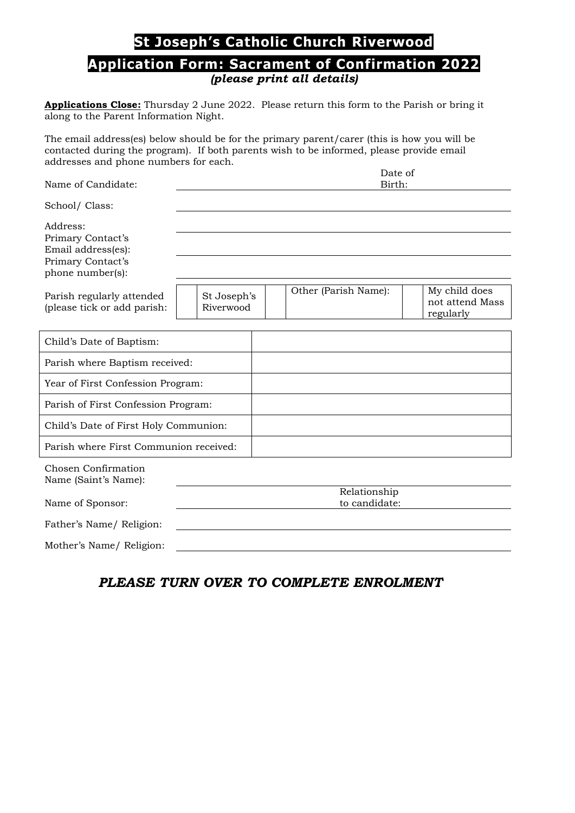# **St Joseph's Catholic Church Riverwood Application Form: Sacrament of Confirmation 2022** *(please print all details)*

**Applications Close:** Thursday 2 June 2022. Please return this form to the Parish or bring it along to the Parent Information Night.

The email address(es) below should be for the primary parent/carer (this is how you will be contacted during the program). If both parents wish to be informed, please provide email addresses and phone numbers for each.

| Name of Candidate:                                                                           | Date of<br>Birth:        |  |                               |                                               |  |
|----------------------------------------------------------------------------------------------|--------------------------|--|-------------------------------|-----------------------------------------------|--|
| School/ Class:                                                                               |                          |  |                               |                                               |  |
| Address:<br>Primary Contact's<br>Email address(es):<br>Primary Contact's<br>phone number(s): |                          |  |                               |                                               |  |
| Parish regularly attended<br>(please tick or add parish:                                     | St Joseph's<br>Riverwood |  | Other (Parish Name):          | My child does<br>not attend Mass<br>regularly |  |
|                                                                                              |                          |  |                               |                                               |  |
| Child's Date of Baptism:                                                                     |                          |  |                               |                                               |  |
| Parish where Baptism received:                                                               |                          |  |                               |                                               |  |
| Year of First Confession Program:                                                            |                          |  |                               |                                               |  |
| Parish of First Confession Program:                                                          |                          |  |                               |                                               |  |
| Child's Date of First Holy Communion:                                                        |                          |  |                               |                                               |  |
| Parish where First Communion received:                                                       |                          |  |                               |                                               |  |
| Chosen Confirmation<br>Name (Saint's Name):                                                  |                          |  |                               |                                               |  |
| Name of Sponsor:                                                                             |                          |  | Relationship<br>to candidate: |                                               |  |
| Father's Name/Religion:                                                                      |                          |  |                               |                                               |  |
| Mother's Name/Religion:                                                                      |                          |  |                               |                                               |  |

# *PLEASE TURN OVER TO COMPLETE ENROLMENT*